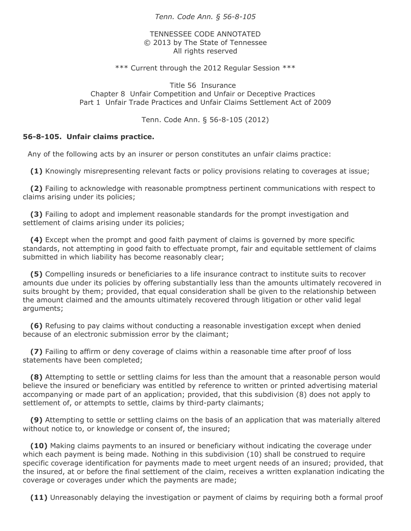## *Tenn. Code Ann. § 56-8-105*

TENNESSEE CODE ANNOTATED © 2013 by The State of Tennessee All rights reserved

\*\*\* Current through the 2012 Regular Session \*\*\*

Title 56 Insurance Chapter 8 Unfair Competition and Unfair or Deceptive Practices Part 1 Unfair Trade Practices and Unfair Claims Settlement Act of 2009

Tenn. Code Ann. § 56-8-105 (2012)

## **56-8-105. Unfair claims practice.**

Any of the following acts by an insurer or person constitutes an unfair claims practice:

**(1)** Knowingly misrepresenting relevant facts or policy provisions relating to coverages at issue;

 **(2)** Failing to acknowledge with reasonable promptness pertinent communications with respect to claims arising under its policies;

 **(3)** Failing to adopt and implement reasonable standards for the prompt investigation and settlement of claims arising under its policies;

 **(4)** Except when the prompt and good faith payment of claims is governed by more specific standards, not attempting in good faith to effectuate prompt, fair and equitable settlement of claims submitted in which liability has become reasonably clear;

 **(5)** Compelling insureds or beneficiaries to a life insurance contract to institute suits to recover amounts due under its policies by offering substantially less than the amounts ultimately recovered in suits brought by them; provided, that equal consideration shall be given to the relationship between the amount claimed and the amounts ultimately recovered through litigation or other valid legal arguments;

 **(6)** Refusing to pay claims without conducting a reasonable investigation except when denied because of an electronic submission error by the claimant;

 **(7)** Failing to affirm or deny coverage of claims within a reasonable time after proof of loss statements have been completed;

 **(8)** Attempting to settle or settling claims for less than the amount that a reasonable person would believe the insured or beneficiary was entitled by reference to written or printed advertising material accompanying or made part of an application; provided, that this subdivision (8) does not apply to settlement of, or attempts to settle, claims by third-party claimants;

 **(9)** Attempting to settle or settling claims on the basis of an application that was materially altered without notice to, or knowledge or consent of, the insured;

 **(10)** Making claims payments to an insured or beneficiary without indicating the coverage under which each payment is being made. Nothing in this subdivision (10) shall be construed to require specific coverage identification for payments made to meet urgent needs of an insured; provided, that the insured, at or before the final settlement of the claim, receives a written explanation indicating the coverage or coverages under which the payments are made;

**(11)** Unreasonably delaying the investigation or payment of claims by requiring both a formal proof